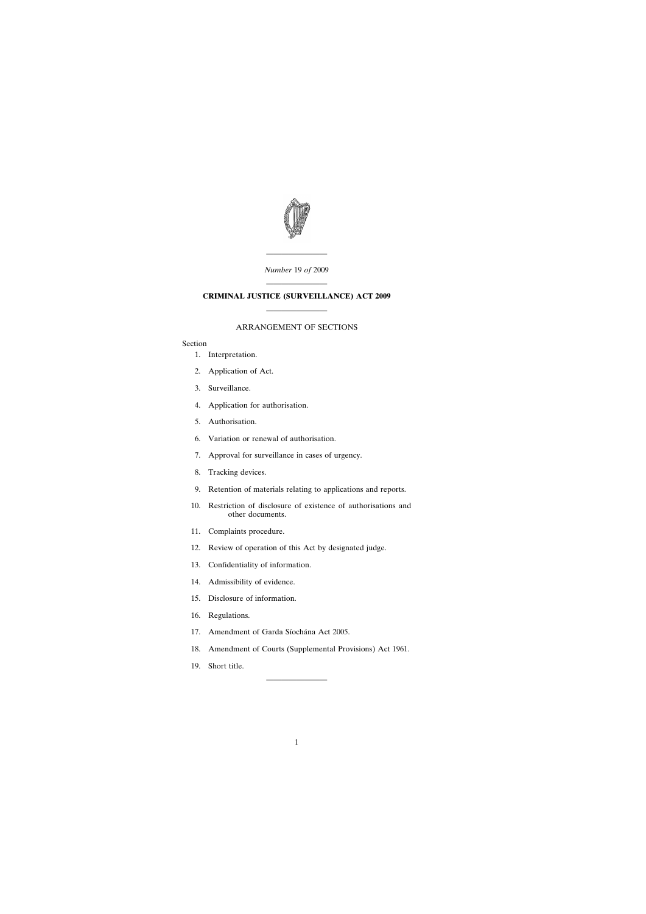

———————— *Number* 19 *of* 2009

# ———————— **CRIMINAL JUSTICE (SURVEILLANCE) ACT 2009** ————————

### ARRANGEMENT OF SECTIONS

### Section

- [1. Interpretation.](#page-2-0)
- [2. Application of Act.](#page-4-0)
- [3. Surveillance.](#page-4-0)
- [4. Application for authorisation.](#page-4-0)
- [5. Authorisation.](#page-5-0)
- [6. Variation or renewal of authorisation.](#page-7-0)
- [7. Approval for surveillance in cases of urgency.](#page-7-0)
- [8. Tracking devices.](#page-9-0)
- [9. Retention of materials relating to applications and reports.](#page-10-0)
- [10. Restriction of disclosure of existence of authorisations and](#page-11-0) other documents.
- [11. Complaints procedure.](#page-12-0)
- [12. Review of operation of this Act by designated judge.](#page-14-0)
- [13. Confidentiality of information.](#page-15-0)
- [14. Admissibility of evidence.](#page-16-0)
- [15. Disclosure of information.](#page-18-0)
- [16. Regulations.](#page-18-0)
- 17. Amendment of Garda Síochána Act 2005.
- [18. Amendment of Courts \(Supplemental Provisions\) Act 1961.](#page-19-0)

————————

[19. Short title.](#page-19-0)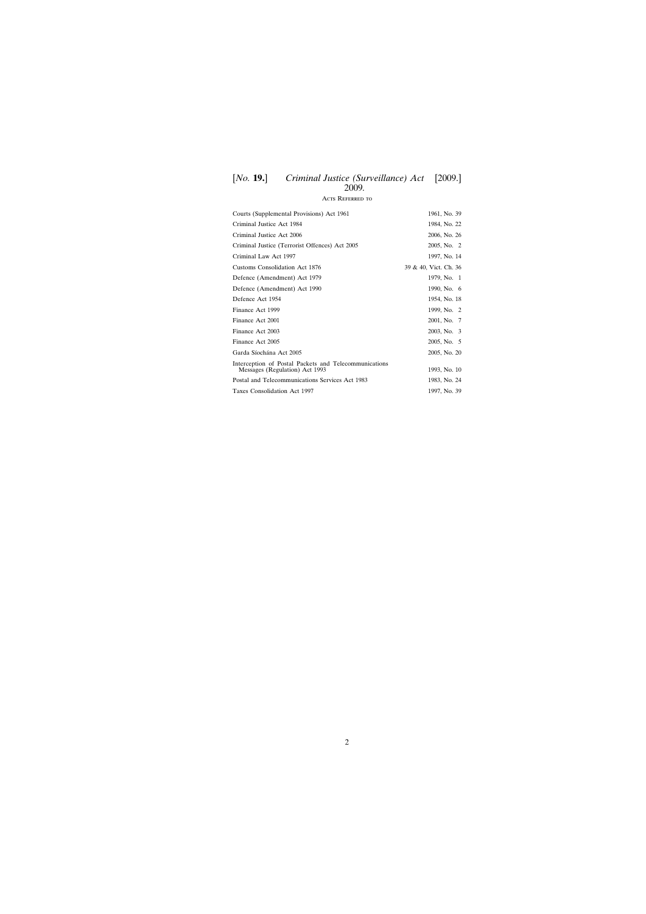### [*No.* **19.**] [2009.] *Criminal Justice (Surveillance) Act* 2009*.*

# Acts Referred to

| Courts (Supplemental Provisions) Act 1961                                               | 1961, No. 39          |
|-----------------------------------------------------------------------------------------|-----------------------|
| Criminal Justice Act 1984                                                               | 1984, No. 22          |
| Criminal Justice Act 2006                                                               | 2006, No. 26          |
| Criminal Justice (Terrorist Offences) Act 2005                                          | 2005, No. 2           |
| Criminal Law Act 1997                                                                   | 1997, No. 14          |
| Customs Consolidation Act 1876                                                          | 39 & 40, Vict. Ch. 36 |
| Defence (Amendment) Act 1979                                                            | 1979, No. 1           |
| Defence (Amendment) Act 1990                                                            | 1990, No. 6           |
| Defence Act 1954                                                                        | 1954, No. 18          |
| Finance Act 1999                                                                        | 1999, No. 2           |
| Finance Act 2001                                                                        | 2001, No. 7           |
| Finance Act 2003                                                                        | 2003, No. 3           |
| Finance Act 2005                                                                        | 2005, No. 5           |
| Garda Síochána Act 2005                                                                 | 2005, No. 20          |
| Interception of Postal Packets and Telecommunications<br>Messages (Regulation) Act 1993 | 1993, No. 10          |
| Postal and Telecommunications Services Act 1983                                         | 1983, No. 24          |
| Taxes Consolidation Act 1997                                                            | 1997, No. 39          |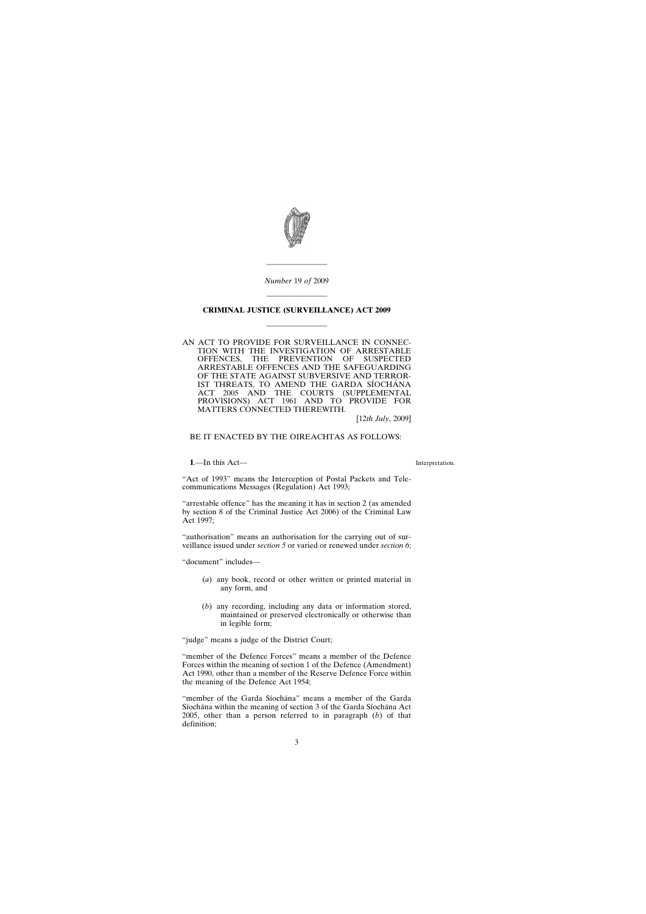

*Number* 19 *of* 2009

————————

## <span id="page-2-0"></span>———————— **CRIMINAL JUSTICE (SURVEILLANCE) ACT 2009**

————————

AN ACT TO PROVIDE FOR SURVEILLANCE IN CONNEC-TION WITH THE INVESTIGATION OF ARRESTABLE<br>OFFENCES, THE PREVENTION OF SUSPECTED OFFENCES, THE PREVENTION OF SUSPECTED ARRESTABLE OFFENCES AND THE SAFEGUARDING OF THE STATE AGAINST SUBVERSIVE AND TERROR-IST THREATS, TO AMEND THE GARDA SÍOCHÁNA ACT 2005 AND THE COURTS (SUPPLEMENTAL PROVISIONS) ACT 1961 AND TO PROVIDE FOR MATTERS CONNECTED THEREWITH.

[12*th July*, 2009]

BE IT ENACTED BY THE OIREACHTAS AS FOLLOWS:

**1**.—In this Act—

Interpretation.

"Act of 1993" means the Interception of Postal Packets and Telecommunications Messages (Regulation) Act 1993;

"arrestable offence" has the meaning it has in section 2 (as amended by section 8 of the Criminal Justice Act 2006) of the Criminal Law Act 1997;

"authorisation" means an authorisation for the carrying out of surveillance issued under *section 5* or varied or renewed under *section 6*;

"document" includes—

- (*a*) any book, record or other written or printed material in any form, and
- (*b*) any recording, including any data or information stored, maintained or preserved electronically or otherwise than in legible form;

"judge" means a judge of the District Court;

"member of the Defence Forces" means a member of the Defence Forces within the meaning of section 1 of the Defence (Amendment) Act 1990, other than a member of the Reserve Defence Force within the meaning of the Defence Act 1954;

"member of the Garda Síochána" means a member of the Garda Síochána within the meaning of section 3 of the Garda Síochána Act 2005, other than a person referred to in paragraph (*b*) of that definition;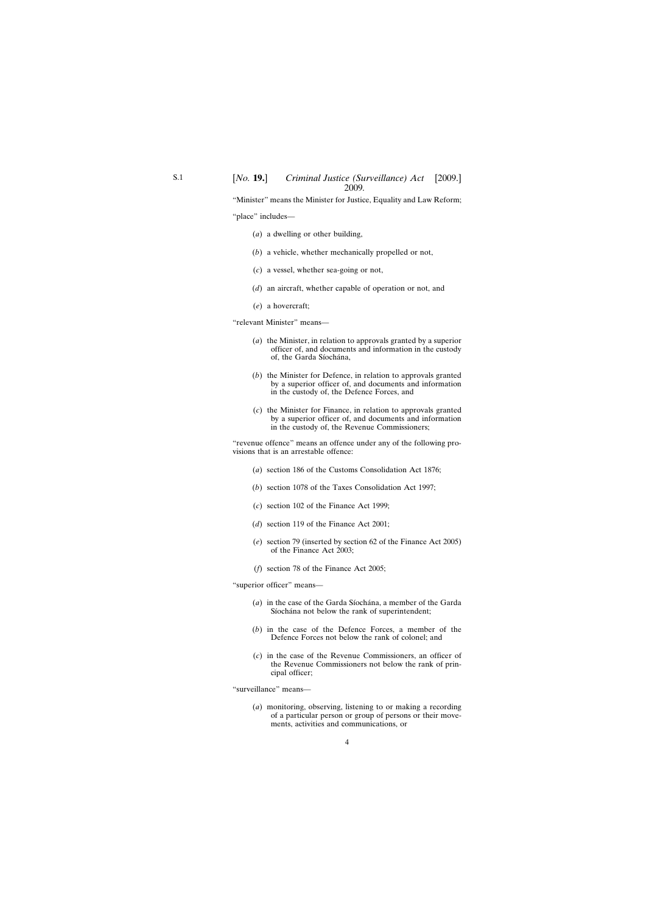"Minister" means the Minister for Justice, Equality and Law Reform; "place" includes—

- (*a*) a dwelling or other building,
- (*b*) a vehicle, whether mechanically propelled or not,
- (*c*) a vessel, whether sea-going or not,
- (*d*) an aircraft, whether capable of operation or not, and
- (*e*) a hovercraft;

"relevant Minister" means—

- (*a*) the Minister, in relation to approvals granted by a superior officer of, and documents and information in the custody of, the Garda Síochána,
- (*b*) the Minister for Defence, in relation to approvals granted by a superior officer of, and documents and information in the custody of, the Defence Forces, and
- (*c*) the Minister for Finance, in relation to approvals granted by a superior officer of, and documents and information in the custody of, the Revenue Commissioners;

"revenue offence" means an offence under any of the following provisions that is an arrestable offence:

- (*a*) section 186 of the Customs Consolidation Act 1876;
- (*b*) section 1078 of the Taxes Consolidation Act 1997;
- (*c*) section 102 of the Finance Act 1999;
- (*d*) section 119 of the Finance Act 2001;
- (*e*) section 79 (inserted by section 62 of the Finance Act 2005) of the Finance Act 2003;
- (*f*) section 78 of the Finance Act 2005;

"superior officer" means—

- (*a*) in the case of the Garda Síochána, a member of the Garda Síochána not below the rank of superintendent;
- (*b*) in the case of the Defence Forces, a member of the Defence Forces not below the rank of colonel; and
- (*c*) in the case of the Revenue Commissioners, an officer of the Revenue Commissioners not below the rank of principal officer;

"surveillance" means—

(*a*) monitoring, observing, listening to or making a recording of a particular person or group of persons or their movements, activities and communications, or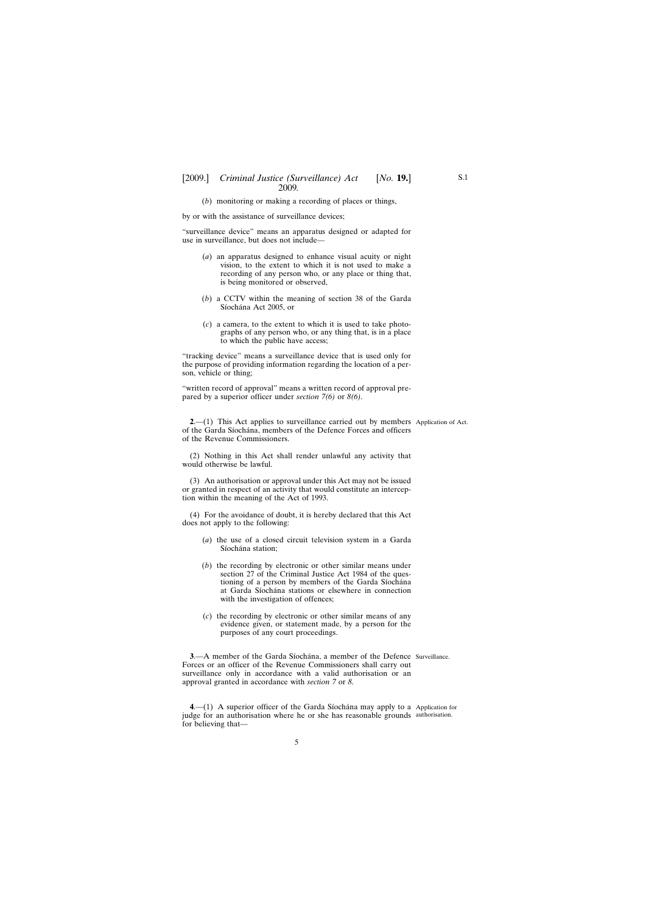### <span id="page-4-0"></span>[2009.] [ *Criminal Justice (Surveillance) Act No.* **19.**] 2009*.*

(*b*) monitoring or making a recording of places or things,

by or with the assistance of surveillance devices;

"surveillance device" means an apparatus designed or adapted for use in surveillance, but does not include—

- (*a*) an apparatus designed to enhance visual acuity or night vision, to the extent to which it is not used to make a recording of any person who, or any place or thing that, is being monitored or observed,
- (*b*) a CCTV within the meaning of section 38 of the Garda Síochána Act 2005, or
- (*c*) a camera, to the extent to which it is used to take photographs of any person who, or any thing that, is in a place to which the public have access;

"tracking device" means a surveillance device that is used only for the purpose of providing information regarding the location of a person, vehicle or thing;

"written record of approval" means a written record of approval prepared by a superior officer under *section 7(6)* or *8(6)*.

**2.** (1) This Act applies to surveillance carried out by members Application of Act. of the Garda Síochána, members of the Defence Forces and officers of the Revenue Commissioners.

(2) Nothing in this Act shall render unlawful any activity that would otherwise be lawful.

(3) An authorisation or approval under this Act may not be issued or granted in respect of an activity that would constitute an interception within the meaning of the Act of 1993.

(4) For the avoidance of doubt, it is hereby declared that this Act does not apply to the following:

- (*a*) the use of a closed circuit television system in a Garda Síochána station;
- (*b*) the recording by electronic or other similar means under section 27 of the Criminal Justice Act 1984 of the questioning of a person by members of the Garda Síochána at Garda Síochána stations or elsewhere in connection with the investigation of offences;
- (*c*) the recording by electronic or other similar means of any evidence given, or statement made, by a person for the purposes of any court proceedings.

**3.**—A member of the Garda Síochána, a member of the Defence Surveillance. Forces or an officer of the Revenue Commissioners shall carry out surveillance only in accordance with a valid authorisation or an approval granted in accordance with *section 7* or *8*.

**4.** - (1) A superior officer of the Garda Síochána may apply to a Application for judge for an authorisation where he or she has reasonable grounds authorisation.for believing that—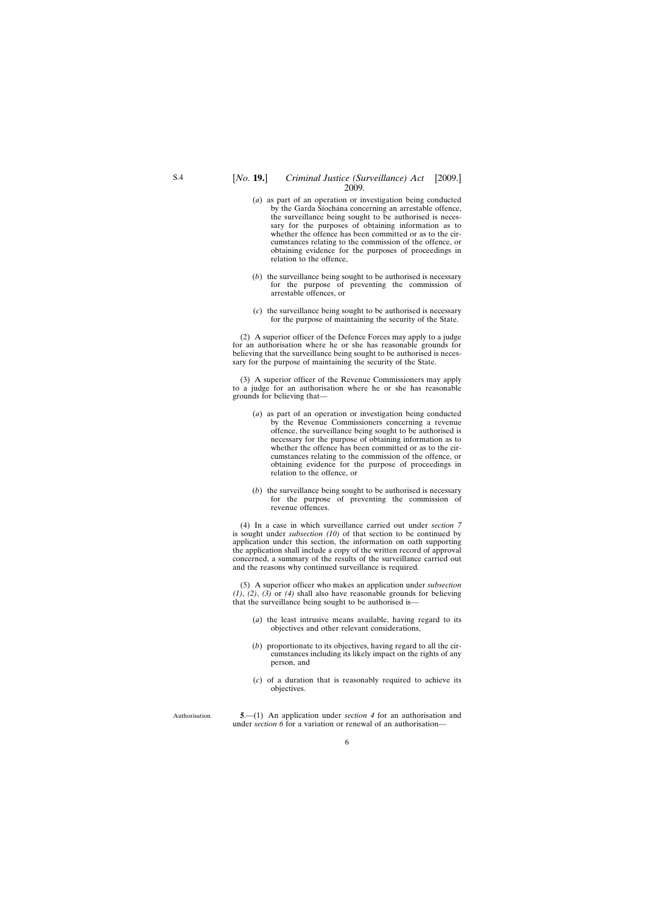#### <span id="page-5-0"></span>[*No.* **19.**] *Criminal Justice (Surveillance) Act* [2009.] 2009*.*

- (*a*) as part of an operation or investigation being conducted by the Garda Síochána concerning an arrestable offence, the surveillance being sought to be authorised is necessary for the purposes of obtaining information as to whether the offence has been committed or as to the circumstances relating to the commission of the offence, or obtaining evidence for the purposes of proceedings in relation to the offence,
- (*b*) the surveillance being sought to be authorised is necessary for the purpose of preventing the commission of arrestable offences, or
- (*c*) the surveillance being sought to be authorised is necessary for the purpose of maintaining the security of the State.

(2) A superior officer of the Defence Forces may apply to a judge for an authorisation where he or she has reasonable grounds for believing that the surveillance being sought to be authorised is necessary for the purpose of maintaining the security of the State.

(3) A superior officer of the Revenue Commissioners may apply to a judge for an authorisation where he or she has reasonable grounds for believing that—

- (*a*) as part of an operation or investigation being conducted by the Revenue Commissioners concerning a revenue offence, the surveillance being sought to be authorised is necessary for the purpose of obtaining information as to whether the offence has been committed or as to the circumstances relating to the commission of the offence, or obtaining evidence for the purpose of proceedings in relation to the offence, or
- (*b*) the surveillance being sought to be authorised is necessary for the purpose of preventing the commission of revenue offences.

(4) In a case in which surveillance carried out under *section 7* is sought under *subsection (10)* of that section to be continued by application under this section, the information on oath supporting the application shall include a copy of the written record of approval concerned, a summary of the results of the surveillance carried out and the reasons why continued surveillance is required.

(5) A superior officer who makes an application under *subsection (1)*, *(2)*, *(3)* or *(4)* shall also have reasonable grounds for believing that the surveillance being sought to be authorised is—

- (*a*) the least intrusive means available, having regard to its objectives and other relevant considerations,
- (*b*) proportionate to its objectives, having regard to all the circumstances including its likely impact on the rights of any person, and
- (*c*) of a duration that is reasonably required to achieve its objectives.

Authorisation.

**5**.—(1) An application under *section 4* for an authorisation and under *section 6* for a variation or renewal of an authorisation—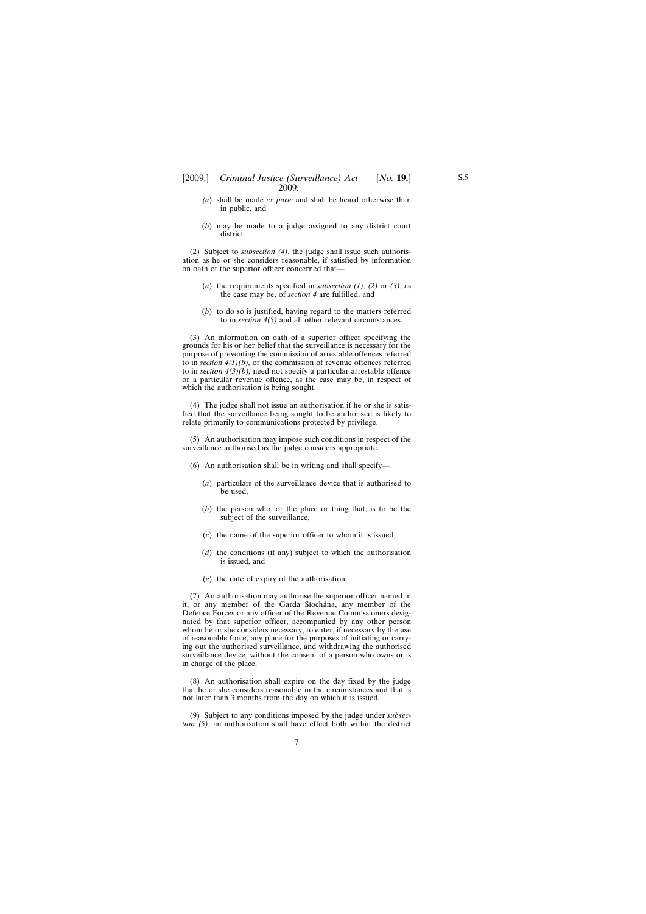- *(a*) shall be made *ex parte* and shall be heard otherwise than in public, and
- (*b*) may be made to a judge assigned to any district court district.

(2) Subject to *subsection (4)*, the judge shall issue such authorisation as he or she considers reasonable, if satisfied by information on oath of the superior officer concerned that—

- (*a*) the requirements specified in *subsection (1)*, *(2)* or *(3)*, as the case may be, of *section 4* are fulfilled, and
- (*b*) to do so is justified, having regard to the matters referred to in *section 4(5)* and all other relevant circumstances.

(3) An information on oath of a superior officer specifying the grounds for his or her belief that the surveillance is necessary for the purpose of preventing the commission of arrestable offences referred to in *section 4(1)(b),* or the commission of revenue offences referred to in *section 4(3)(b),* need not specify a particular arrestable offence or a particular revenue offence, as the case may be, in respect of which the authorisation is being sought.

(4) The judge shall not issue an authorisation if he or she is satisfied that the surveillance being sought to be authorised is likely to relate primarily to communications protected by privilege.

(5) An authorisation may impose such conditions in respect of the surveillance authorised as the judge considers appropriate.

- (6) An authorisation shall be in writing and shall specify—
	- (*a*) particulars of the surveillance device that is authorised to be used,
	- (*b*) the person who, or the place or thing that, is to be the subject of the surveillance,
	- (*c*) the name of the superior officer to whom it is issued,
	- (*d*) the conditions (if any) subject to which the authorisation is issued, and
	- (*e*) the date of expiry of the authorisation.

(7) An authorisation may authorise the superior officer named in it, or any member of the Garda Síochána, any member of the Defence Forces or any officer of the Revenue Commissioners designated by that superior officer, accompanied by any other person whom he or she considers necessary, to enter, if necessary by the use of reasonable force, any place for the purposes of initiating or carrying out the authorised surveillance, and withdrawing the authorised surveillance device, without the consent of a person who owns or is in charge of the place.

(8) An authorisation shall expire on the day fixed by the judge that he or she considers reasonable in the circumstances and that is not later than 3 months from the day on which it is issued.

(9) Subject to any conditions imposed by the judge under *subsection (5)*, an authorisation shall have effect both within the district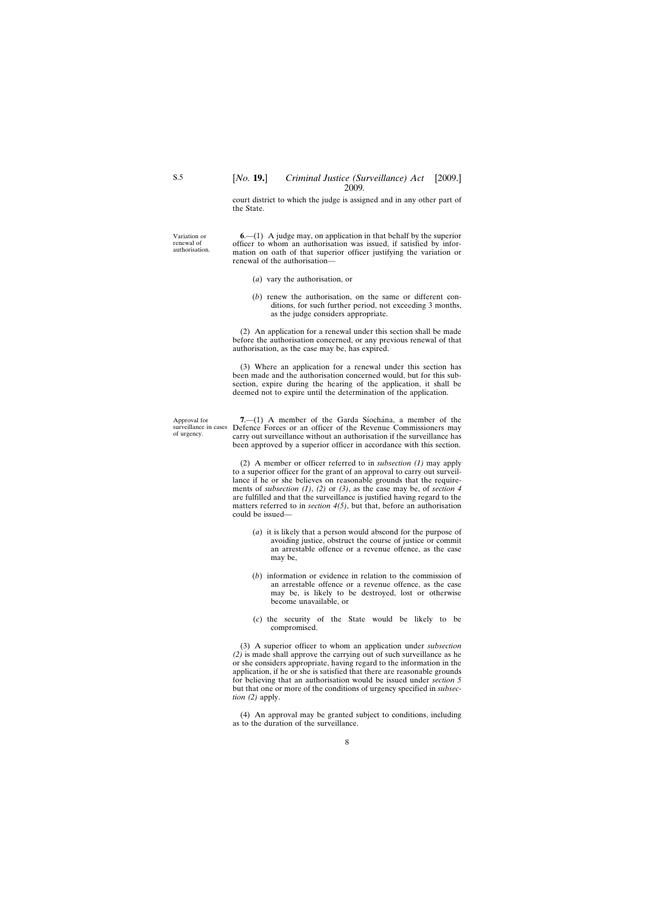court district to which the judge is assigned and in any other part of the State.

<span id="page-7-0"></span>Variation or authorisation.

**6**.—(1) A judge may, on application in that behalf by the superior officer to whom an authorisation was issued, if satisfied by information on oath of that superior officer justifying the variation or renewal of the authorisation—

- (*a*) vary the authorisation, or
- (*b*) renew the authorisation, on the same or different conditions, for such further period, not exceeding 3 months, as the judge considers appropriate.

(2) An application for a renewal under this section shall be made before the authorisation concerned, or any previous renewal of that authorisation, as the case may be, has expired.

(3) Where an application for a renewal under this section has been made and the authorisation concerned would, but for this subsection, expire during the hearing of the application, it shall be deemed not to expire until the determination of the application.

Approval for surveillance in cases of urgency.

**7.**—(1) A member of the Garda Síochána, a member of the Defence Forces or an officer of the Revenue Commissioners may carry out surveillance without an authorisation if the surveillance has been approved by a superior officer in accordance with this section.

(2) A member or officer referred to in *subsection (1)* may apply to a superior officer for the grant of an approval to carry out surveillance if he or she believes on reasonable grounds that the requirements of *subsection (1)*, *(2)* or *(3)*, as the case may be, of *section 4* are fulfilled and that the surveillance is justified having regard to the matters referred to in *section 4(5)*, but that, before an authorisation could be issued—

- (*a*) it is likely that a person would abscond for the purpose of avoiding justice, obstruct the course of justice or commit an arrestable offence or a revenue offence, as the case may be,
- (*b*) information or evidence in relation to the commission of an arrestable offence or a revenue offence, as the case may be, is likely to be destroyed, lost or otherwise become unavailable, or
- (*c*) the security of the State would be likely to be compromised.

(3) A superior officer to whom an application under *subsection (2)* is made shall approve the carrying out of such surveillance as he or she considers appropriate, having regard to the information in the application, if he or she is satisfied that there are reasonable grounds for believing that an authorisation would be issued under *section 5* but that one or more of the conditions of urgency specified in *subsection (2)* apply.

(4) An approval may be granted subject to conditions, including as to the duration of the surveillance.

renewal of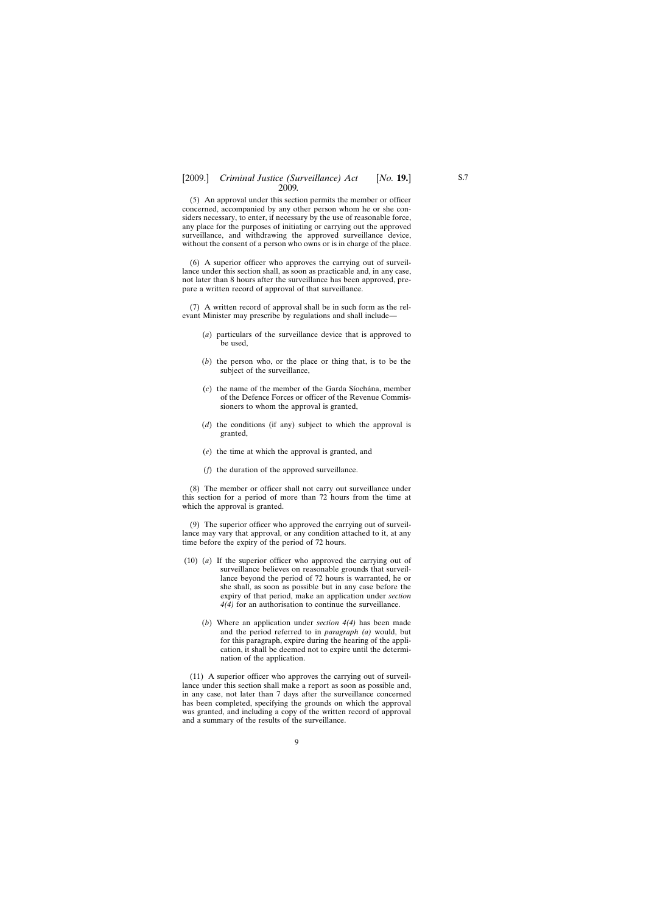(5) An approval under this section permits the member or officer concerned, accompanied by any other person whom he or she considers necessary, to enter, if necessary by the use of reasonable force, any place for the purposes of initiating or carrying out the approved surveillance, and withdrawing the approved surveillance device, without the consent of a person who owns or is in charge of the place.

(6) A superior officer who approves the carrying out of surveillance under this section shall, as soon as practicable and, in any case, not later than 8 hours after the surveillance has been approved, prepare a written record of approval of that surveillance.

(7) A written record of approval shall be in such form as the relevant Minister may prescribe by regulations and shall include—

- (*a*) particulars of the surveillance device that is approved to be used,
- (*b*) the person who, or the place or thing that, is to be the subject of the surveillance,
- (*c*) the name of the member of the Garda Siochana, member of the Defence Forces or officer of the Revenue Commissioners to whom the approval is granted,
- (*d*) the conditions (if any) subject to which the approval is granted,
- (*e*) the time at which the approval is granted, and
- (*f*) the duration of the approved surveillance.

(8) The member or officer shall not carry out surveillance under this section for a period of more than 72 hours from the time at which the approval is granted.

(9) The superior officer who approved the carrying out of surveillance may vary that approval, or any condition attached to it, at any time before the expiry of the period of 72 hours.

- (10) (*a*) If the superior officer who approved the carrying out of surveillance believes on reasonable grounds that surveillance beyond the period of 72 hours is warranted, he or she shall, as soon as possible but in any case before the expiry of that period, make an application under *section 4(4)* for an authorisation to continue the surveillance.
	- (*b*) Where an application under *section 4(4)* has been made and the period referred to in *paragraph (a)* would, but for this paragraph, expire during the hearing of the application, it shall be deemed not to expire until the determination of the application.

(11) A superior officer who approves the carrying out of surveillance under this section shall make a report as soon as possible and, in any case, not later than 7 days after the surveillance concerned has been completed, specifying the grounds on which the approval was granted, and including a copy of the written record of approval and a summary of the results of the surveillance.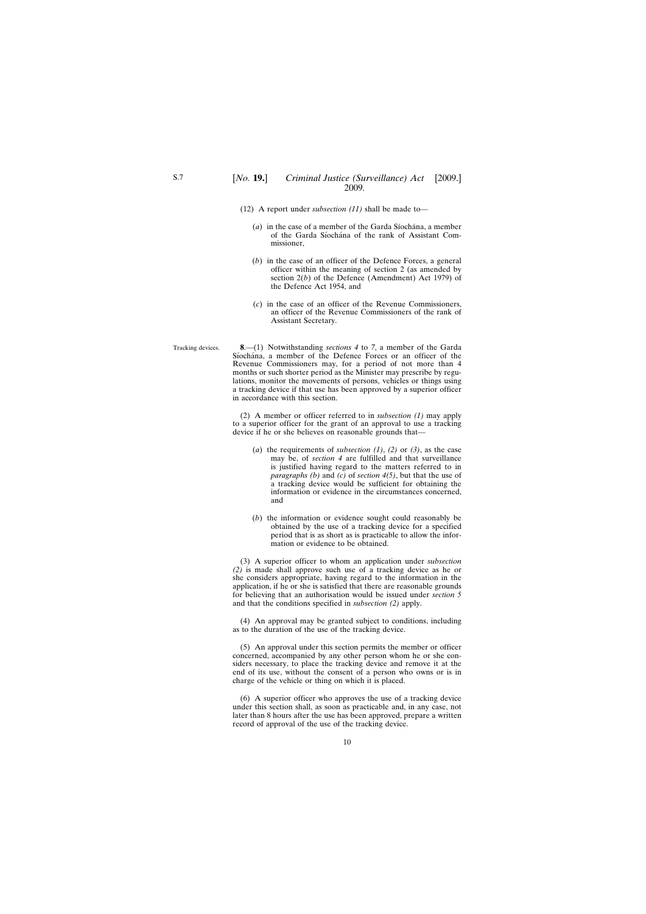(12) A report under *subsection (11)* shall be made to—

<span id="page-9-0"></span>S.7

- $(a)$  in the case of a member of the Garda Siochana, a member of the Garda Síochána of the rank of Assistant Commissioner,
- (*b*) in the case of an officer of the Defence Forces, a general officer within the meaning of section 2 (as amended by section 2(*b*) of the Defence (Amendment) Act 1979) of the Defence Act 1954, and
- (*c*) in the case of an officer of the Revenue Commissioners, an officer of the Revenue Commissioners of the rank of Assistant Secretary.

Tracking devices. **8**.—(1) Notwithstanding *sections 4* to *7*, a member of the Garda Síochána, a member of the Defence Forces or an officer of the Revenue Commissioners may, for a period of not more than 4 months or such shorter period as the Minister may prescribe by regulations, monitor the movements of persons, vehicles or things using a tracking device if that use has been approved by a superior officer in accordance with this section.

> (2) A member or officer referred to in *subsection (1)* may apply to a superior officer for the grant of an approval to use a tracking device if he or she believes on reasonable grounds that—

- (*a*) the requirements of *subsection (1)*, *(2)* or *(3)*, as the case may be, of *section 4* are fulfilled and that surveillance is justified having regard to the matters referred to in *paragraphs (b)* and *(c)* of *section 4(5)*, but that the use of a tracking device would be sufficient for obtaining the information or evidence in the circumstances concerned, and
- (*b*) the information or evidence sought could reasonably be obtained by the use of a tracking device for a specified period that is as short as is practicable to allow the information or evidence to be obtained.

(3) A superior officer to whom an application under *subsection (2)* is made shall approve such use of a tracking device as he or she considers appropriate, having regard to the information in the application, if he or she is satisfied that there are reasonable grounds for believing that an authorisation would be issued under *section 5* and that the conditions specified in *subsection (2)* apply.

(4) An approval may be granted subject to conditions, including as to the duration of the use of the tracking device.

(5) An approval under this section permits the member or officer concerned, accompanied by any other person whom he or she considers necessary, to place the tracking device and remove it at the end of its use, without the consent of a person who owns or is in charge of the vehicle or thing on which it is placed.

(6) A superior officer who approves the use of a tracking device under this section shall, as soon as practicable and, in any case, not later than 8 hours after the use has been approved, prepare a written record of approval of the use of the tracking device.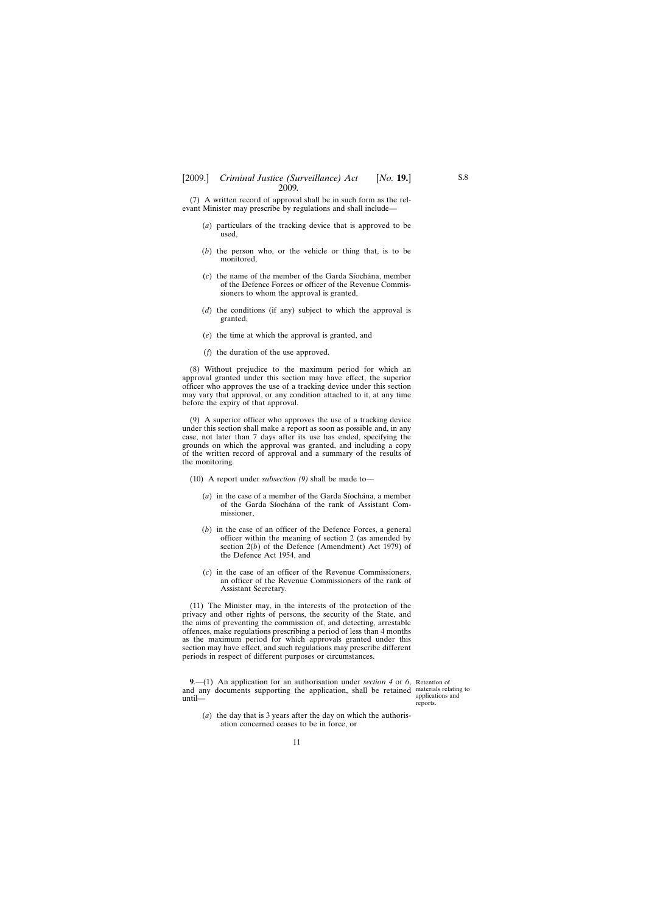<span id="page-10-0"></span>(7) A written record of approval shall be in such form as the relevant Minister may prescribe by regulations and shall include—

- (*a*) particulars of the tracking device that is approved to be used,
- (*b*) the person who, or the vehicle or thing that, is to be monitored,
- $(c)$  the name of the member of the Garda Siochana, member of the Defence Forces or officer of the Revenue Commissioners to whom the approval is granted,
- (*d*) the conditions (if any) subject to which the approval is granted,
- (*e*) the time at which the approval is granted, and
- (*f*) the duration of the use approved.

(8) Without prejudice to the maximum period for which an approval granted under this section may have effect, the superior officer who approves the use of a tracking device under this section may vary that approval, or any condition attached to it, at any time before the expiry of that approval.

(9) A superior officer who approves the use of a tracking device under this section shall make a report as soon as possible and, in any case, not later than 7 days after its use has ended, specifying the grounds on which the approval was granted, and including a copy of the written record of approval and a summary of the results of the monitoring.

- (10) A report under *subsection (9)* shall be made to—
	- (*a*) in the case of a member of the Garda Síochána, a member of the Garda Síochána of the rank of Assistant Commissioner,
	- (*b*) in the case of an officer of the Defence Forces, a general officer within the meaning of section 2 (as amended by section 2(*b*) of the Defence (Amendment) Act 1979) of the Defence Act 1954, and
	- (*c*) in the case of an officer of the Revenue Commissioners, an officer of the Revenue Commissioners of the rank of Assistant Secretary.

(11) The Minister may, in the interests of the protection of the privacy and other rights of persons, the security of the State, and the aims of preventing the commission of, and detecting, arrestable offences, make regulations prescribing a period of less than 4 months as the maximum period for which approvals granted under this section may have effect, and such regulations may prescribe different periods in respect of different purposes or circumstances.

**9**.—(1) An application for an authorisation under *section 4* or *6*, Retention of and any documents supporting the application, shall be retained materials relating to until—

applications and reports.

(*a*) the day that is 3 years after the day on which the authorisation concerned ceases to be in force, or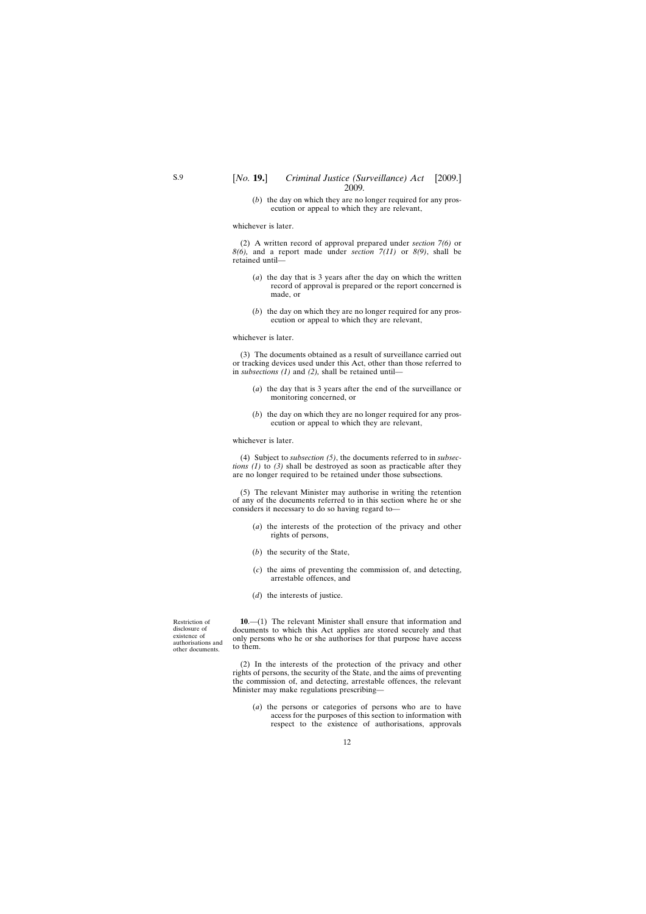(*b*) the day on which they are no longer required for any prosecution or appeal to which they are relevant,

<span id="page-11-0"></span>whichever is later.

(2) A written record of approval prepared under *section 7(6)* or *8(6),* and a report made under *section 7(11)* or *8(9)*, shall be retained until—

- (*a*) the day that is 3 years after the day on which the written record of approval is prepared or the report concerned is made, or
- (*b*) the day on which they are no longer required for any prosecution or appeal to which they are relevant,

#### whichever is later.

(3) The documents obtained as a result of surveillance carried out or tracking devices used under this Act, other than those referred to in *subsections (1)* and *(2),* shall be retained until—

- (*a*) the day that is 3 years after the end of the surveillance or monitoring concerned, or
- (*b*) the day on which they are no longer required for any prosecution or appeal to which they are relevant,

#### whichever is later.

(4) Subject to *subsection (5)*, the documents referred to in *subsections (1)* to *(3)* shall be destroyed as soon as practicable after they are no longer required to be retained under those subsections.

(5) The relevant Minister may authorise in writing the retention of any of the documents referred to in this section where he or she considers it necessary to do so having regard to—

- (*a*) the interests of the protection of the privacy and other rights of persons,
- (*b*) the security of the State,
- (*c*) the aims of preventing the commission of, and detecting, arrestable offences, and
- (*d*) the interests of justice.

Restriction of disclosure of existence of authorisations and other documents.

**10**.—(1) The relevant Minister shall ensure that information and documents to which this Act applies are stored securely and that only persons who he or she authorises for that purpose have access to them.

(2) In the interests of the protection of the privacy and other rights of persons, the security of the State, and the aims of preventing the commission of, and detecting, arrestable offences, the relevant Minister may make regulations prescribing—

(*a*) the persons or categories of persons who are to have access for the purposes of this section to information with respect to the existence of authorisations, approvals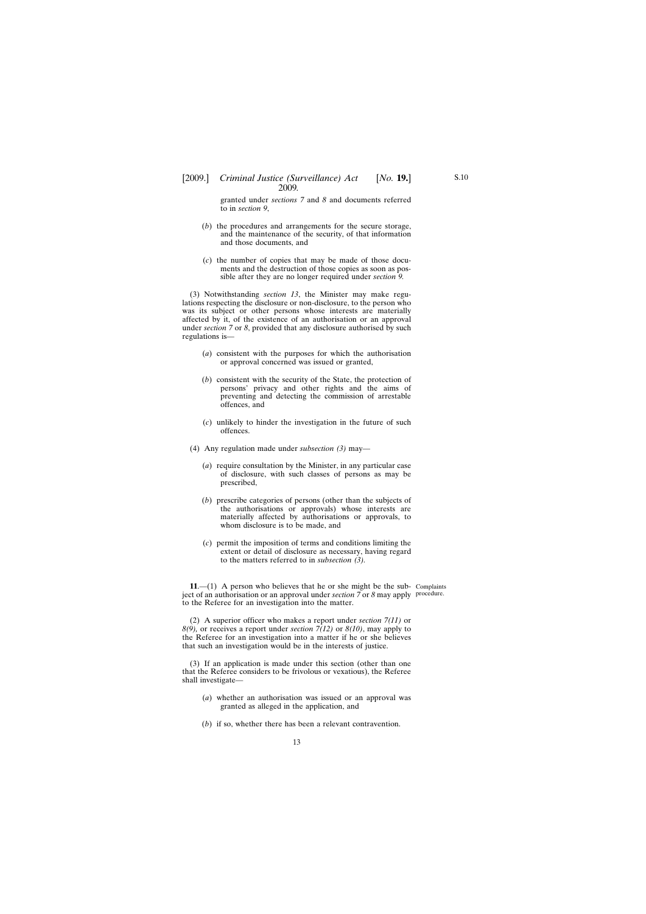<span id="page-12-0"></span>granted under *sections 7* and *8* and documents referred to in *section 9*,

- (*b*) the procedures and arrangements for the secure storage, and the maintenance of the security, of that information and those documents, and
- (*c*) the number of copies that may be made of those documents and the destruction of those copies as soon as possible after they are no longer required under *section 9.*

(3) Notwithstanding *section 13*, the Minister may make regulations respecting the disclosure or non-disclosure, to the person who was its subject or other persons whose interests are materially affected by it, of the existence of an authorisation or an approval under *section 7* or *8*, provided that any disclosure authorised by such regulations is—

- (*a*) consistent with the purposes for which the authorisation or approval concerned was issued or granted,
- (*b*) consistent with the security of the State, the protection of persons' privacy and other rights and the aims of preventing and detecting the commission of arrestable offences, and
- (*c*) unlikely to hinder the investigation in the future of such offences.
- (4) Any regulation made under *subsection (3)* may—
	- (*a*) require consultation by the Minister, in any particular case of disclosure, with such classes of persons as may be prescribed,
	- (*b*) prescribe categories of persons (other than the subjects of the authorisations or approvals) whose interests are materially affected by authorisations or approvals, to whom disclosure is to be made, and
	- (*c*) permit the imposition of terms and conditions limiting the extent or detail of disclosure as necessary, having regard to the matters referred to in *subsection (3).*

**11**.—(1) A person who believes that he or she might be the sub-Complaints ject of an authorisation or an approval under *section 7* or *8* may apply procedure.to the Referee for an investigation into the matter.

(2) A superior officer who makes a report under *section 7(11)* or *8(9),* or receives a report under *section 7(12)* or *8(10)*, may apply to the Referee for an investigation into a matter if he or she believes that such an investigation would be in the interests of justice.

(3) If an application is made under this section (other than one that the Referee considers to be frivolous or vexatious), the Referee shall investigate—

- (*a*) whether an authorisation was issued or an approval was granted as alleged in the application, and
- (*b*) if so, whether there has been a relevant contravention.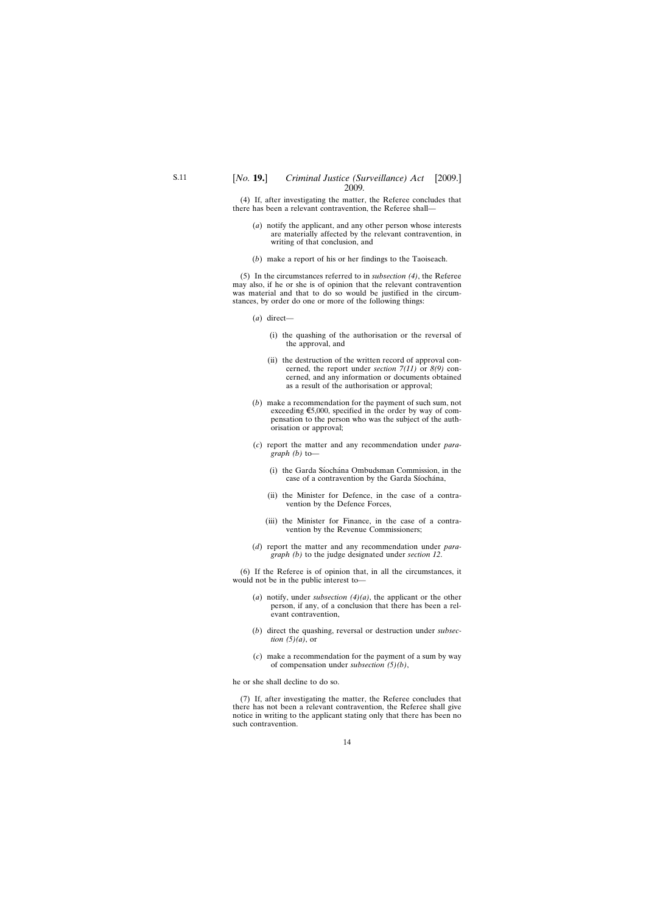(4) If, after investigating the matter, the Referee concludes that there has been a relevant contravention, the Referee shall—

- (*a*) notify the applicant, and any other person whose interests are materially affected by the relevant contravention, in writing of that conclusion, and
- (*b*) make a report of his or her findings to the Taoiseach.

(5) In the circumstances referred to in *subsection (4)*, the Referee may also, if he or she is of opinion that the relevant contravention was material and that to do so would be justified in the circumstances, by order do one or more of the following things:

- (*a*) direct—
	- (i) the quashing of the authorisation or the reversal of the approval, and
	- (ii) the destruction of the written record of approval concerned, the report under *section 7(11)* or *8(9)* concerned, and any information or documents obtained as a result of the authorisation or approval;
- (*b*) make a recommendation for the payment of such sum, not exceeding  $\epsilon$ 5,000, specified in the order by way of compensation to the person who was the subject of the authorisation or approval;
- (*c*) report the matter and any recommendation under *paragraph (b)* to—
	- (i) the Garda Síochána Ombudsman Commission, in the case of a contravention by the Garda Síochána,
	- (ii) the Minister for Defence, in the case of a contravention by the Defence Forces,
	- (iii) the Minister for Finance, in the case of a contravention by the Revenue Commissioners;
- (*d*) report the matter and any recommendation under *paragraph (b)* to the judge designated under *section 12*.

(6) If the Referee is of opinion that, in all the circumstances, it would not be in the public interest to—

- (*a*) notify, under *subsection (4)(a)*, the applicant or the other person, if any, of a conclusion that there has been a relevant contravention,
- (*b*) direct the quashing, reversal or destruction under *subsection (5)(a)*, or
- (*c*) make a recommendation for the payment of a sum by way of compensation under *subsection (5)(b)*,

he or she shall decline to do so.

(7) If, after investigating the matter, the Referee concludes that there has not been a relevant contravention, the Referee shall give notice in writing to the applicant stating only that there has been no such contravention.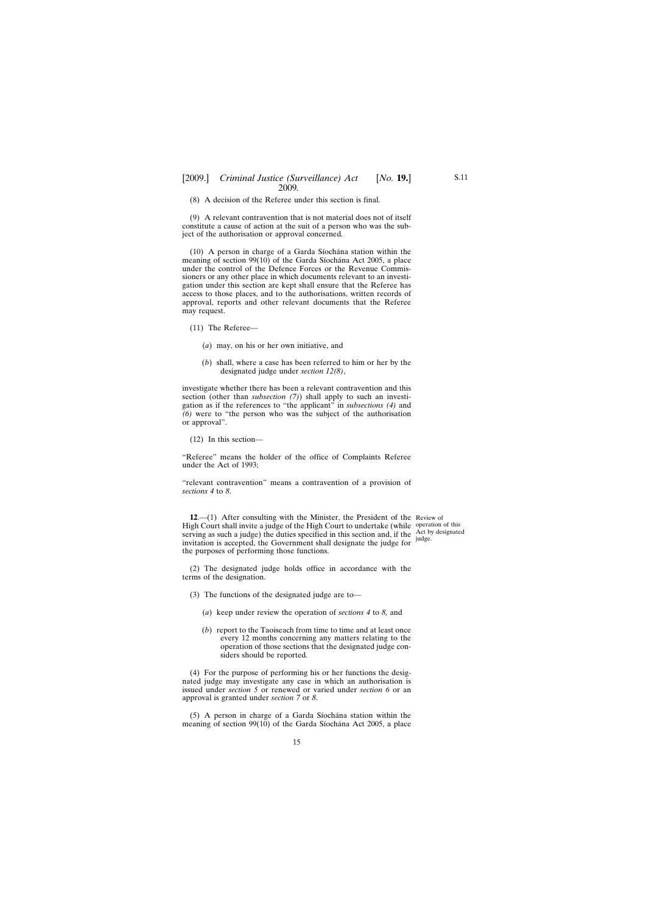<span id="page-14-0"></span>(8) A decision of the Referee under this section is final.

(9) A relevant contravention that is not material does not of itself constitute a cause of action at the suit of a person who was the subject of the authorisation or approval concerned.

 $(10)$  A person in charge of a Garda Síochána station within the meaning of section  $99(10)$  of the Garda Síochána Act 2005, a place under the control of the Defence Forces or the Revenue Commissioners or any other place in which documents relevant to an investigation under this section are kept shall ensure that the Referee has access to those places, and to the authorisations, written records of approval, reports and other relevant documents that the Referee may request.

- (11) The Referee—
	- (*a*) may, on his or her own initiative, and
	- (*b*) shall, where a case has been referred to him or her by the designated judge under *section 12(8)*,

investigate whether there has been a relevant contravention and this section (other than *subsection (7)*) shall apply to such an investigation as if the references to "the applicant" in *subsections (4)* and *(6)* were to "the person who was the subject of the authorisation or approval".

(12) In this section—

"Referee" means the holder of the office of Complaints Referee under the Act of 1993;

"relevant contravention" means a contravention of a provision of *sections 4* to *8*.

**12.**—(1) After consulting with the Minister, the President of the Review of High Court shall invite a judge of the High Court to undertake (while operation of this serving as such a judge) the duties specified in this section and, if the  $\frac{\text{Act}}{\text{indag}}$  designated invitation is accepted, the Government shall designate the judge for the purposes of performing those functions.

judge.

(2) The designated judge holds office in accordance with the terms of the designation.

- (3) The functions of the designated judge are to—
	- (*a*) keep under review the operation of *sections 4* to *8,* and
	- (*b*) report to the Taoiseach from time to time and at least once every 12 months concerning any matters relating to the operation of those sections that the designated judge considers should be reported.

(4) For the purpose of performing his or her functions the designated judge may investigate any case in which an authorisation is issued under *section 5* or renewed or varied under *section 6* or an approval is granted under *section 7* or *8*.

 $(5)$  A person in charge of a Garda Síochána station within the meaning of section 99(10) of the Garda Síochána Act 2005, a place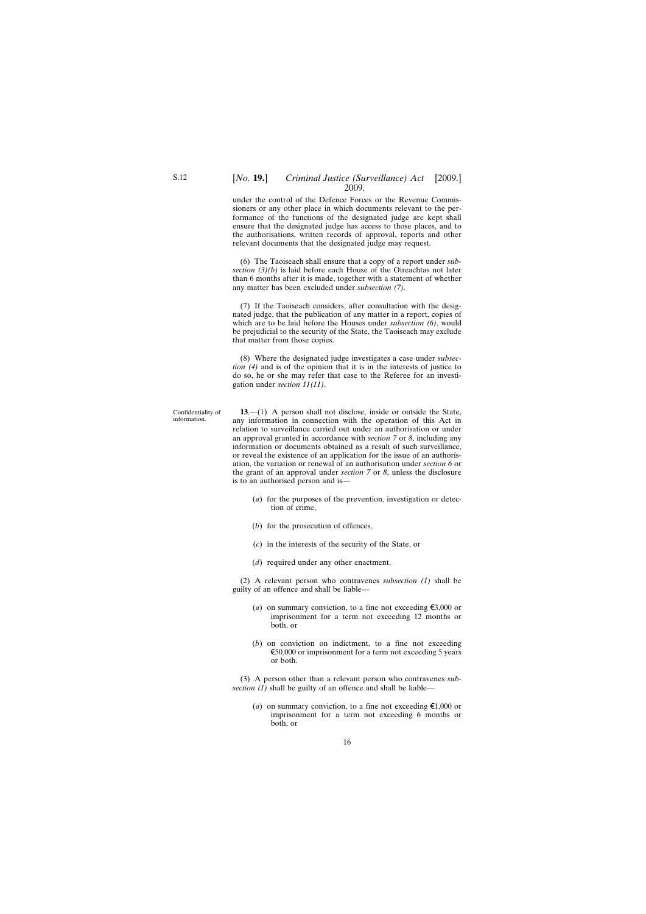#### <span id="page-15-0"></span>[*No.* **19.**] *Criminal Justice (Surveillance) Act* [2009.] 2009*.*

under the control of the Defence Forces or the Revenue Commissioners or any other place in which documents relevant to the performance of the functions of the designated judge are kept shall ensure that the designated judge has access to those places, and to the authorisations, written records of approval, reports and other relevant documents that the designated judge may request.

(6) The Taoiseach shall ensure that a copy of a report under *subsection (3)(b)* is laid before each House of the Oireachtas not later than 6 months after it is made, together with a statement of whether any matter has been excluded under *subsection (7)*.

(7) If the Taoiseach considers, after consultation with the designated judge, that the publication of any matter in a report, copies of which are to be laid before the Houses under *subsection (6)*, would be prejudicial to the security of the State, the Taoiseach may exclude that matter from those copies.

(8) Where the designated judge investigates a case under *subsection (4)* and is of the opinion that it is in the interests of justice to do so, he or she may refer that case to the Referee for an investigation under *section 11(11)*.

**13**.—(1) A person shall not disclose, inside or outside the State, any information in connection with the operation of this Act in relation to surveillance carried out under an authorisation or under an approval granted in accordance with *section 7* or *8*, including any information or documents obtained as a result of such surveillance, or reveal the existence of an application for the issue of an authorisation, the variation or renewal of an authorisation under *section 6* or the grant of an approval under *section 7* or *8*, unless the disclosure is to an authorised person and is—

- (*a*) for the purposes of the prevention, investigation or detection of crime,
- (*b*) for the prosecution of offences,
- (*c*) in the interests of the security of the State, or
- (*d*) required under any other enactment.

(2) A relevant person who contravenes *subsection (1)* shall be guilty of an offence and shall be liable—

- (*a*) on summary conviction, to a fine not exceeding  $\epsilon$ 3,000 or imprisonment for a term not exceeding 12 months or both, or
- (*b*) on conviction on indictment, to a fine not exceeding  $\epsilon$ 50,000 or imprisonment for a term not exceeding 5 years or both.

(3) A person other than a relevant person who contravenes *subsection (1)* shall be guilty of an offence and shall be liable—

(*a*) on summary conviction, to a fine not exceeding  $\epsilon 1,000$  or imprisonment for a term not exceeding 6 months or both, or

Confidentiality of information.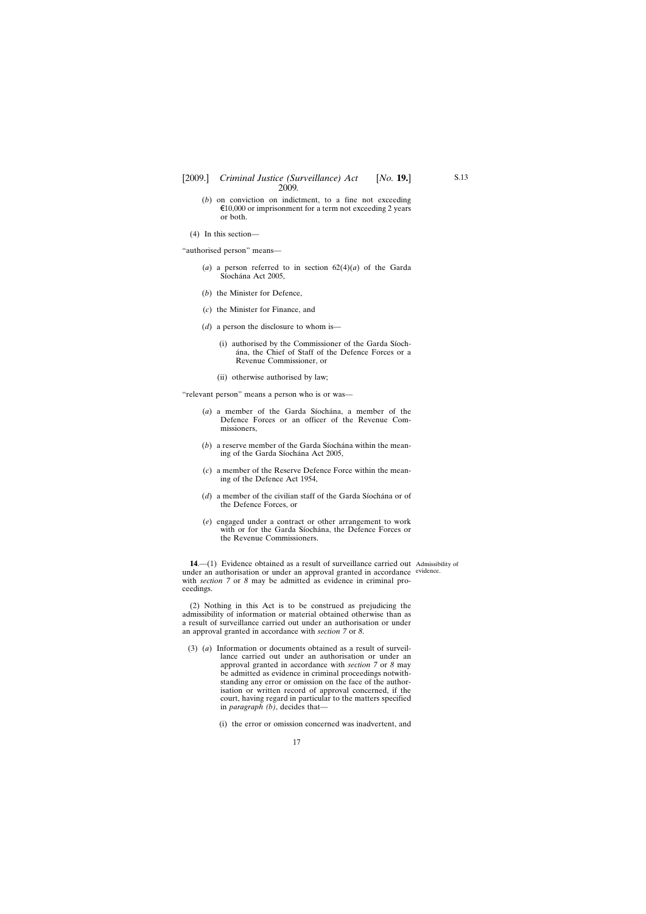- <span id="page-16-0"></span>(*b*) on conviction on indictment, to a fine not exceeding  $\epsilon$ 10,000 or imprisonment for a term not exceeding 2 years or both.
- (4) In this section—

"authorised person" means—

- (*a*) a person referred to in section  $62(4)(a)$  of the Garda Síochána Act 2005,
- (*b*) the Minister for Defence,
- (*c*) the Minister for Finance, and
- (*d*) a person the disclosure to whom is—
	- (i) authorised by the Commissioner of the Garda Siochána, the Chief of Staff of the Defence Forces or a Revenue Commissioner, or
	- (ii) otherwise authorised by law;

"relevant person" means a person who is or was—

- (*a*) a member of the Garda Siochana, a member of the Defence Forces or an officer of the Revenue Commissioners,
- $(b)$  a reserve member of the Garda Síochána within the meaning of the Garda Síochána Act 2005,
- (*c*) a member of the Reserve Defence Force within the meaning of the Defence Act 1954,
- $(d)$  a member of the civilian staff of the Garda Síochána or of the Defence Forces, or
- (*e*) engaged under a contract or other arrangement to work with or for the Garda Síochána, the Defence Forces or the Revenue Commissioners.

**14**.—(1) Evidence obtained as a result of surveillance carried out Admissibility of under an authorisation or under an approval granted in accordance evidence. with *section 7* or *8* may be admitted as evidence in criminal proceedings.

(2) Nothing in this Act is to be construed as prejudicing the admissibility of information or material obtained otherwise than as a result of surveillance carried out under an authorisation or under an approval granted in accordance with *section 7* or *8*.

- (3) (*a*) Information or documents obtained as a result of surveillance carried out under an authorisation or under an approval granted in accordance with *section 7* or *8* may be admitted as evidence in criminal proceedings notwithstanding any error or omission on the face of the authorisation or written record of approval concerned, if the court, having regard in particular to the matters specified in *paragraph (b)*, decides that—
	- (i) the error or omission concerned was inadvertent, and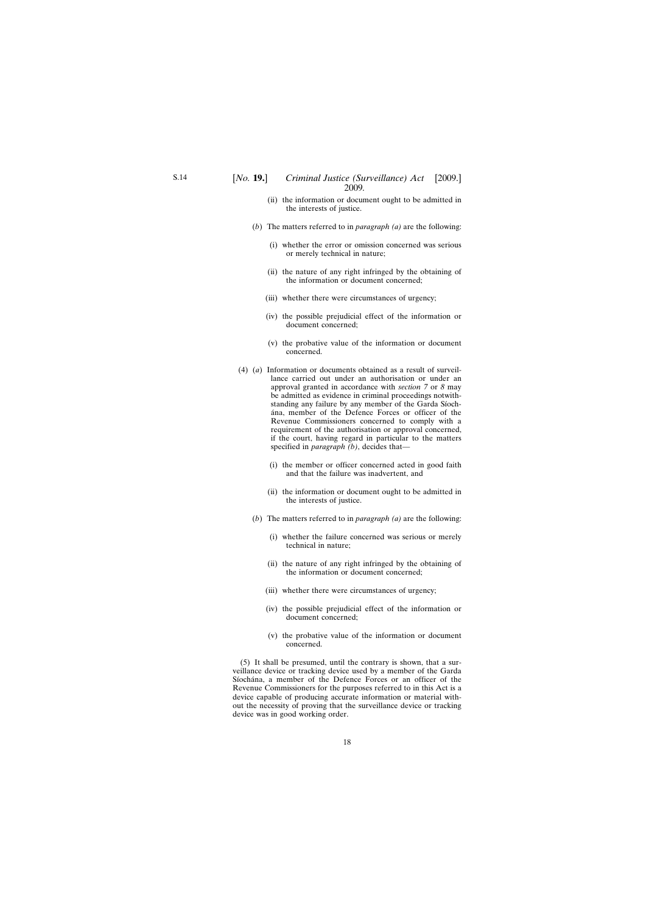- (ii) the information or document ought to be admitted in the interests of justice.
- (*b*) The matters referred to in *paragraph (a)* are the following:
	- (i) whether the error or omission concerned was serious or merely technical in nature;
	- (ii) the nature of any right infringed by the obtaining of the information or document concerned;
	- (iii) whether there were circumstances of urgency;
	- (iv) the possible prejudicial effect of the information or document concerned;
	- (v) the probative value of the information or document concerned.
- (4) (*a*) Information or documents obtained as a result of surveillance carried out under an authorisation or under an approval granted in accordance with *section 7* or *8* may be admitted as evidence in criminal proceedings notwithstanding any failure by any member of the Garda Síocha´na, member of the Defence Forces or officer of the Revenue Commissioners concerned to comply with a requirement of the authorisation or approval concerned, if the court, having regard in particular to the matters specified in *paragraph (b)*, decides that—
	- (i) the member or officer concerned acted in good faith and that the failure was inadvertent, and
	- (ii) the information or document ought to be admitted in the interests of justice.
	- (*b*) The matters referred to in *paragraph (a)* are the following:
		- (i) whether the failure concerned was serious or merely technical in nature;
		- (ii) the nature of any right infringed by the obtaining of the information or document concerned;
		- (iii) whether there were circumstances of urgency;
		- (iv) the possible prejudicial effect of the information or document concerned;
		- (v) the probative value of the information or document concerned.

(5) It shall be presumed, until the contrary is shown, that a surveillance device or tracking device used by a member of the Garda Síochána, a member of the Defence Forces or an officer of the Revenue Commissioners for the purposes referred to in this Act is a device capable of producing accurate information or material without the necessity of proving that the surveillance device or tracking device was in good working order.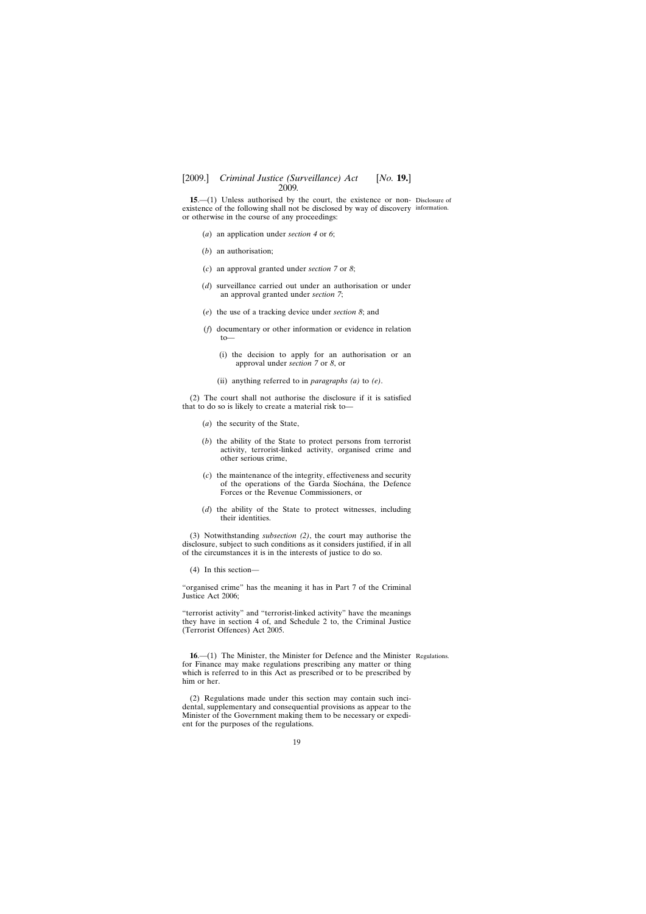<span id="page-18-0"></span>**15.**—(1) Unless authorised by the court, the existence or non-Disclosure of existence of the following shall not be disclosed by way of discovery information. or otherwise in the course of any proceedings:

- (*a*) an application under *section 4* or *6*;
- (*b*) an authorisation;
- (*c*) an approval granted under *section 7* or *8*;
- (*d*) surveillance carried out under an authorisation or under an approval granted under *section 7*;
- (*e*) the use of a tracking device under *section 8*; and
- (*f*) documentary or other information or evidence in relation to—
	- (i) the decision to apply for an authorisation or an approval under *section 7* or *8*, or
	- (ii) anything referred to in *paragraphs (a)* to *(e)*.

(2) The court shall not authorise the disclosure if it is satisfied that to do so is likely to create a material risk to—

- (*a*) the security of the State,
- (*b*) the ability of the State to protect persons from terrorist activity, terrorist-linked activity, organised crime and other serious crime,
- (*c*) the maintenance of the integrity, effectiveness and security of the operations of the Garda Síochána, the Defence Forces or the Revenue Commissioners, or
- (*d*) the ability of the State to protect witnesses, including their identities.

(3) Notwithstanding *subsection (2)*, the court may authorise the disclosure, subject to such conditions as it considers justified, if in all of the circumstances it is in the interests of justice to do so.

(4) In this section—

"organised crime" has the meaning it has in Part 7 of the Criminal Justice Act 2006;

"terrorist activity" and "terrorist-linked activity" have the meanings they have in section 4 of, and Schedule 2 to, the Criminal Justice (Terrorist Offences) Act 2005.

**16**.—(1) The Minister, the Minister for Defence and the Minister Regulations.for Finance may make regulations prescribing any matter or thing which is referred to in this Act as prescribed or to be prescribed by him or her.

(2) Regulations made under this section may contain such incidental, supplementary and consequential provisions as appear to the Minister of the Government making them to be necessary or expedient for the purposes of the regulations.